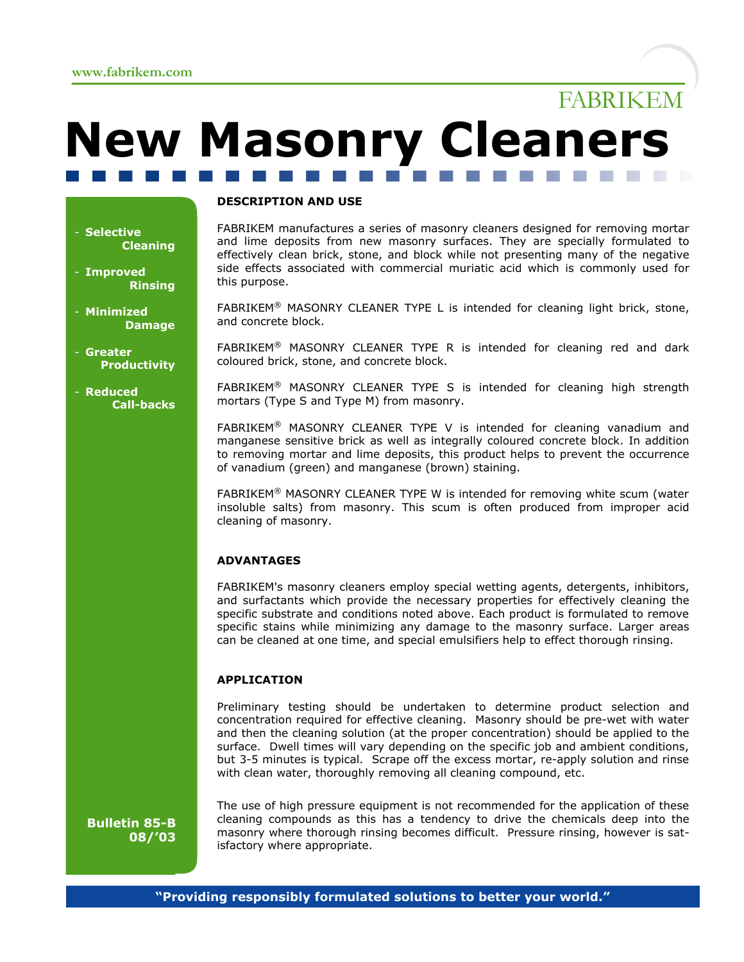# **New Masonry Cleaners** and the state of the

- **Selective**
- **Cleaning**
- **Improved Rinsing**
- **Minimized Damage**
- **Greater Productivity**
- **Reduced Call-backs**

#### **DESCRIPTION AND USE**

FABRIKEM manufactures a series of masonry cleaners designed for removing mortar and lime deposits from new masonry surfaces. They are specially formulated to effectively clean brick, stone, and block while not presenting many of the negative side effects associated with commercial muriatic acid which is commonly used for this purpose.

FABRIKEM

FABRIKEM® MASONRY CLEANER TYPE L is intended for cleaning light brick, stone, and concrete block.

FABRIKEM® MASONRY CLEANER TYPE R is intended for cleaning red and dark coloured brick, stone, and concrete block.

FABRIKEM® MASONRY CLEANER TYPE S is intended for cleaning high strength mortars (Type S and Type M) from masonry.

FABRIKEM® MASONRY CLEANER TYPE V is intended for cleaning vanadium and manganese sensitive brick as well as integrally coloured concrete block. In addition to removing mortar and lime deposits, this product helps to prevent the occurrence of vanadium (green) and manganese (brown) staining.

FABRIKEM® MASONRY CLEANER TYPE W is intended for removing white scum (water insoluble salts) from masonry. This scum is often produced from improper acid cleaning of masonry.

## **ADVANTAGES**

FABRIKEM's masonry cleaners employ special wetting agents, detergents, inhibitors, and surfactants which provide the necessary properties for effectively cleaning the specific substrate and conditions noted above. Each product is formulated to remove specific stains while minimizing any damage to the masonry surface. Larger areas can be cleaned at one time, and special emulsifiers help to effect thorough rinsing.

## **APPLICATION**

Preliminary testing should be undertaken to determine product selection and concentration required for effective cleaning. Masonry should be pre-wet with water and then the cleaning solution (at the proper concentration) should be applied to the surface. Dwell times will vary depending on the specific job and ambient conditions, but 3-5 minutes is typical. Scrape off the excess mortar, re-apply solution and rinse with clean water, thoroughly removing all cleaning compound, etc.

**Bulletin 85-B 08/'03**

The use of high pressure equipment is not recommended for the application of these cleaning compounds as this has a tendency to drive the chemicals deep into the masonry where thorough rinsing becomes difficult. Pressure rinsing, however is satisfactory where appropriate.